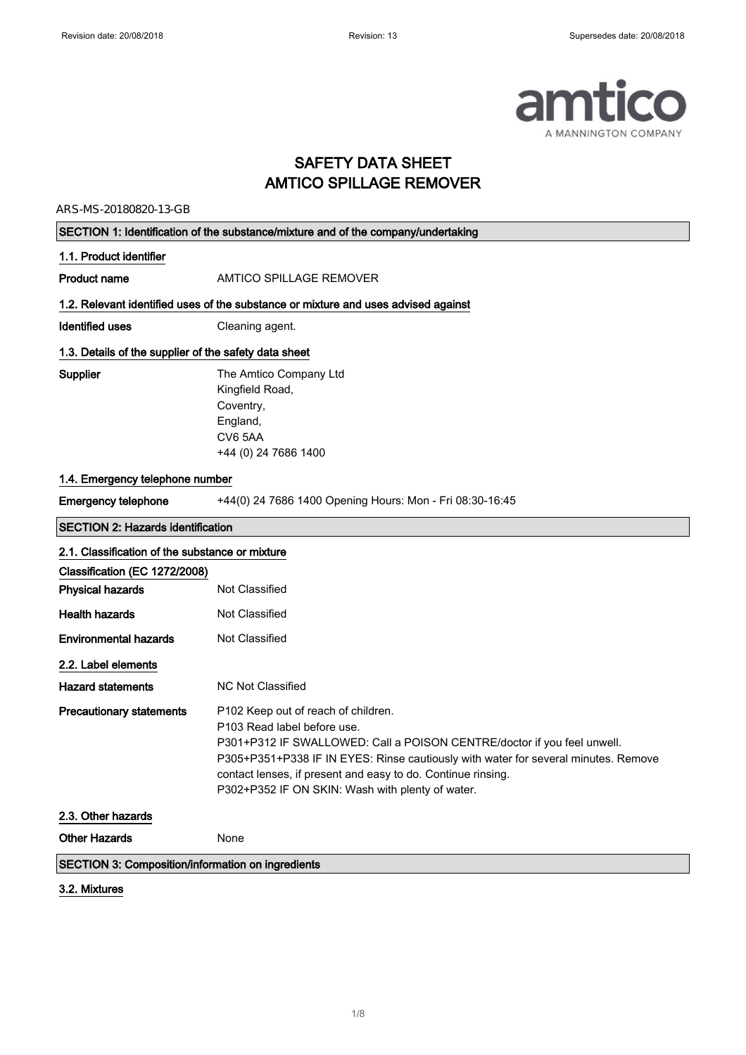

### SAFETY DATA SHEET AMTICO SPILLAGE REMOVER

ARS-MS-20180820-13-GB

| SECTION 1: Identification of the substance/mixture and of the company/undertaking |                                                                                                                                                                                                                                                                                                                                                         |
|-----------------------------------------------------------------------------------|---------------------------------------------------------------------------------------------------------------------------------------------------------------------------------------------------------------------------------------------------------------------------------------------------------------------------------------------------------|
| 1.1. Product identifier                                                           |                                                                                                                                                                                                                                                                                                                                                         |
| <b>Product name</b>                                                               | AMTICO SPILLAGE REMOVER                                                                                                                                                                                                                                                                                                                                 |
|                                                                                   | 1.2. Relevant identified uses of the substance or mixture and uses advised against                                                                                                                                                                                                                                                                      |
| <b>Identified uses</b>                                                            | Cleaning agent.                                                                                                                                                                                                                                                                                                                                         |
| 1.3. Details of the supplier of the safety data sheet                             |                                                                                                                                                                                                                                                                                                                                                         |
| Supplier                                                                          | The Amtico Company Ltd<br>Kingfield Road,<br>Coventry,<br>England,<br>CV6 5AA<br>+44 (0) 24 7686 1400                                                                                                                                                                                                                                                   |
| 1.4. Emergency telephone number                                                   |                                                                                                                                                                                                                                                                                                                                                         |
| <b>Emergency telephone</b>                                                        | +44(0) 24 7686 1400 Opening Hours: Mon - Fri 08:30-16:45                                                                                                                                                                                                                                                                                                |
| <b>SECTION 2: Hazards identification</b>                                          |                                                                                                                                                                                                                                                                                                                                                         |
| 2.1. Classification of the substance or mixture                                   |                                                                                                                                                                                                                                                                                                                                                         |
| Classification (EC 1272/2008)                                                     |                                                                                                                                                                                                                                                                                                                                                         |
| <b>Physical hazards</b>                                                           | Not Classified                                                                                                                                                                                                                                                                                                                                          |
| <b>Health hazards</b>                                                             | Not Classified                                                                                                                                                                                                                                                                                                                                          |
| <b>Environmental hazards</b>                                                      | Not Classified                                                                                                                                                                                                                                                                                                                                          |
| 2.2. Label elements                                                               |                                                                                                                                                                                                                                                                                                                                                         |
| <b>Hazard statements</b>                                                          | <b>NC Not Classified</b>                                                                                                                                                                                                                                                                                                                                |
| <b>Precautionary statements</b>                                                   | P102 Keep out of reach of children.<br>P103 Read label before use.<br>P301+P312 IF SWALLOWED: Call a POISON CENTRE/doctor if you feel unwell.<br>P305+P351+P338 IF IN EYES: Rinse cautiously with water for several minutes. Remove<br>contact lenses, if present and easy to do. Continue rinsing.<br>P302+P352 IF ON SKIN: Wash with plenty of water. |
| 2.3. Other hazards                                                                |                                                                                                                                                                                                                                                                                                                                                         |
| <b>Other Hazards</b>                                                              | None                                                                                                                                                                                                                                                                                                                                                    |
| <b>SECTION 3: Composition/information on ingredients</b>                          |                                                                                                                                                                                                                                                                                                                                                         |

#### 3.2. Mixtures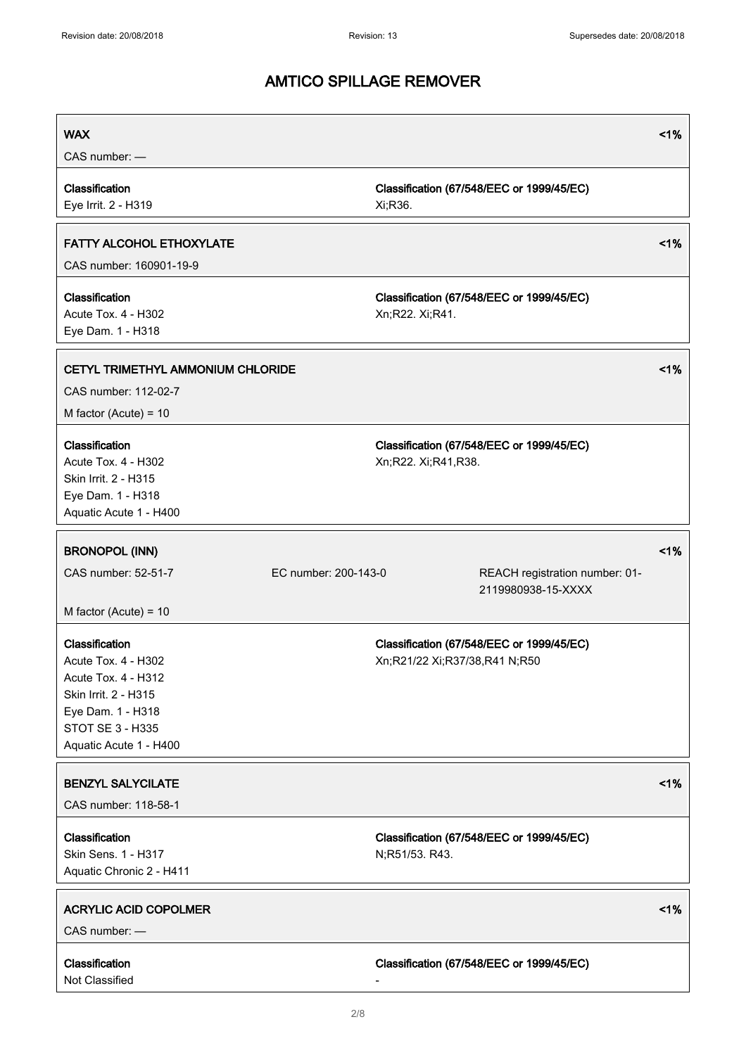| <b>WAX</b><br>CAS number: -                                                                                                                             |                      |                               |                                                      | $1\%$ |
|---------------------------------------------------------------------------------------------------------------------------------------------------------|----------------------|-------------------------------|------------------------------------------------------|-------|
| Classification<br>Eye Irrit. 2 - H319                                                                                                                   |                      | Xi;R36.                       | Classification (67/548/EEC or 1999/45/EC)            |       |
| <b>FATTY ALCOHOL ETHOXYLATE</b><br>CAS number: 160901-19-9                                                                                              |                      |                               |                                                      | 1%    |
| Classification<br>Acute Tox. 4 - H302<br>Eye Dam. 1 - H318                                                                                              |                      | Xn;R22. Xi;R41.               | Classification (67/548/EEC or 1999/45/EC)            |       |
| CETYL TRIMETHYL AMMONIUM CHLORIDE<br>CAS number: 112-02-7<br>M factor (Acute) = $10$                                                                    |                      |                               |                                                      | 1%    |
| Classification<br>Acute Tox. 4 - H302<br>Skin Irrit. 2 - H315<br>Eye Dam. 1 - H318<br>Aquatic Acute 1 - H400                                            |                      | Xn;R22. Xi;R41,R38.           | Classification (67/548/EEC or 1999/45/EC)            |       |
| <b>BRONOPOL (INN)</b><br>CAS number: 52-51-7<br>M factor (Acute) = $10$                                                                                 | EC number: 200-143-0 |                               | REACH registration number: 01-<br>2119980938-15-XXXX | 1%    |
| Classification<br>Acute Tox. 4 - H302<br>Acute Tox. 4 - H312<br>Skin Irrit. 2 - H315<br>Eye Dam. 1 - H318<br>STOT SE 3 - H335<br>Aquatic Acute 1 - H400 |                      | Xn;R21/22 Xi;R37/38,R41 N;R50 | Classification (67/548/EEC or 1999/45/EC)            |       |
| <b>BENZYL SALYCILATE</b><br>CAS number: 118-58-1                                                                                                        |                      |                               |                                                      | 1%    |
| Classification<br>Skin Sens. 1 - H317<br>Aquatic Chronic 2 - H411                                                                                       |                      | N;R51/53. R43.                | Classification (67/548/EEC or 1999/45/EC)            |       |
| <b>ACRYLIC ACID COPOLMER</b><br>CAS number: -                                                                                                           |                      |                               |                                                      | 1%    |
| Classification<br>Not Classified                                                                                                                        |                      |                               | Classification (67/548/EEC or 1999/45/EC)            |       |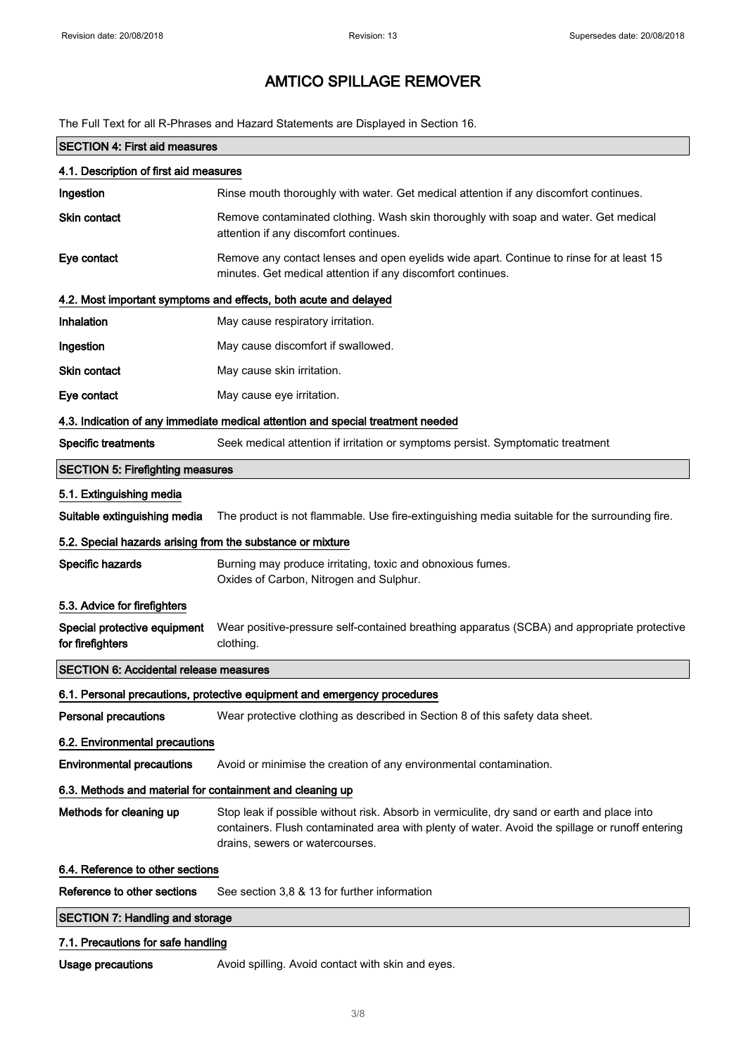The Full Text for all R-Phrases and Hazard Statements are Displayed in Section 16.

| <b>SECTION 4: First aid measures</b>                       |                                                                                                                                                                                                                                   |  |
|------------------------------------------------------------|-----------------------------------------------------------------------------------------------------------------------------------------------------------------------------------------------------------------------------------|--|
| 4.1. Description of first aid measures                     |                                                                                                                                                                                                                                   |  |
| Ingestion                                                  | Rinse mouth thoroughly with water. Get medical attention if any discomfort continues.                                                                                                                                             |  |
| Skin contact                                               | Remove contaminated clothing. Wash skin thoroughly with soap and water. Get medical<br>attention if any discomfort continues.                                                                                                     |  |
| Eye contact                                                | Remove any contact lenses and open eyelids wide apart. Continue to rinse for at least 15<br>minutes. Get medical attention if any discomfort continues.                                                                           |  |
|                                                            | 4.2. Most important symptoms and effects, both acute and delayed                                                                                                                                                                  |  |
| Inhalation                                                 | May cause respiratory irritation.                                                                                                                                                                                                 |  |
| Ingestion                                                  | May cause discomfort if swallowed.                                                                                                                                                                                                |  |
| <b>Skin contact</b>                                        | May cause skin irritation.                                                                                                                                                                                                        |  |
| Eye contact                                                | May cause eye irritation.                                                                                                                                                                                                         |  |
|                                                            | 4.3. Indication of any immediate medical attention and special treatment needed                                                                                                                                                   |  |
| <b>Specific treatments</b>                                 | Seek medical attention if irritation or symptoms persist. Symptomatic treatment                                                                                                                                                   |  |
| <b>SECTION 5: Firefighting measures</b>                    |                                                                                                                                                                                                                                   |  |
| 5.1. Extinguishing media                                   |                                                                                                                                                                                                                                   |  |
| Suitable extinguishing media                               | The product is not flammable. Use fire-extinguishing media suitable for the surrounding fire.                                                                                                                                     |  |
| 5.2. Special hazards arising from the substance or mixture |                                                                                                                                                                                                                                   |  |
| Specific hazards                                           | Burning may produce irritating, toxic and obnoxious fumes.<br>Oxides of Carbon, Nitrogen and Sulphur.                                                                                                                             |  |
| 5.3. Advice for firefighters                               |                                                                                                                                                                                                                                   |  |
| Special protective equipment<br>for firefighters           | Wear positive-pressure self-contained breathing apparatus (SCBA) and appropriate protective<br>clothing.                                                                                                                          |  |
| <b>SECTION 6: Accidental release measures</b>              |                                                                                                                                                                                                                                   |  |
|                                                            | 6.1. Personal precautions, protective equipment and emergency procedures                                                                                                                                                          |  |
| <b>Personal precautions</b>                                | Wear protective clothing as described in Section 8 of this safety data sheet.                                                                                                                                                     |  |
| 6.2. Environmental precautions                             |                                                                                                                                                                                                                                   |  |
| <b>Environmental precautions</b>                           | Avoid or minimise the creation of any environmental contamination.                                                                                                                                                                |  |
| 6.3. Methods and material for containment and cleaning up  |                                                                                                                                                                                                                                   |  |
| Methods for cleaning up                                    | Stop leak if possible without risk. Absorb in vermiculite, dry sand or earth and place into<br>containers. Flush contaminated area with plenty of water. Avoid the spillage or runoff entering<br>drains, sewers or watercourses. |  |
| 6.4. Reference to other sections                           |                                                                                                                                                                                                                                   |  |
| Reference to other sections                                | See section 3,8 & 13 for further information                                                                                                                                                                                      |  |
| <b>SECTION 7: Handling and storage</b>                     |                                                                                                                                                                                                                                   |  |
| 7.1. Precautions for safe handling                         |                                                                                                                                                                                                                                   |  |
| Usage precautions                                          | Avoid spilling. Avoid contact with skin and eyes.                                                                                                                                                                                 |  |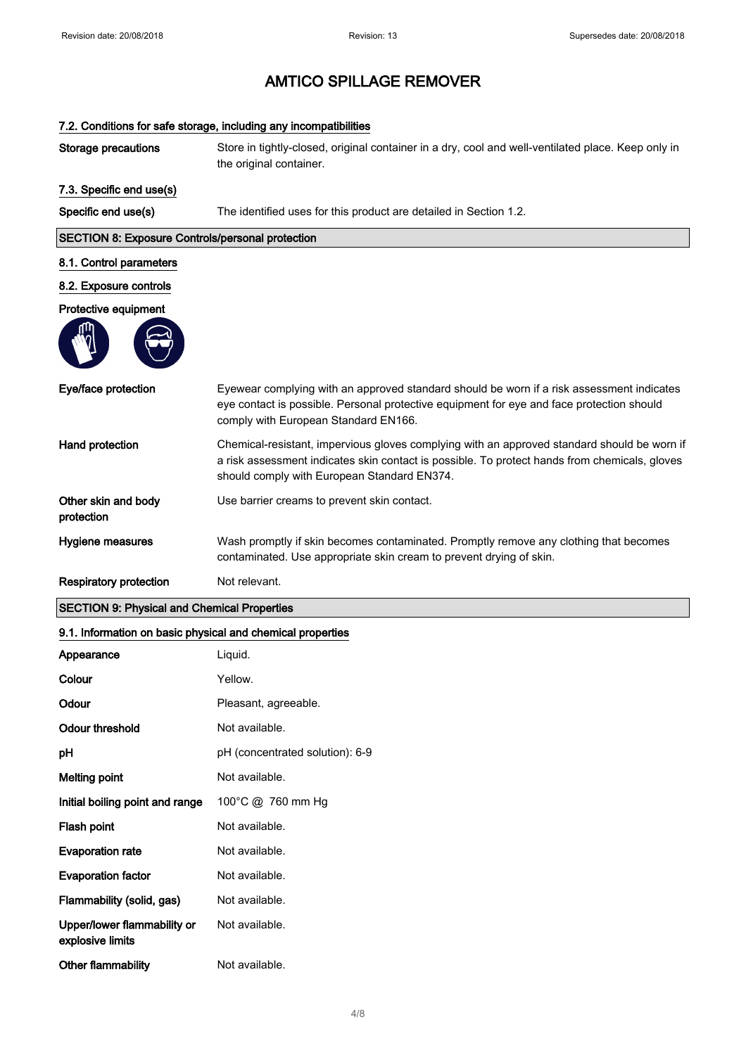# 7.2. Conditions for safe storage, including any incompatibilities Storage precautions Store in tightly-closed, original container in a dry, cool and well-ventilated place. Keep only in the original container. 7.3. Specific end use(s) Specific end use(s) The identified uses for this product are detailed in Section 1.2. SECTION 8: Exposure Controls/personal protection 8.1. Control parameters 8.2. Exposure controls Protective equipment Eye/face protection Eyewear complying with an approved standard should be worn if a risk assessment indicates eye contact is possible. Personal protective equipment for eye and face protection should comply with European Standard EN166. Hand protection Chemical-resistant, impervious gloves complying with an approved standard should be worn if a risk assessment indicates skin contact is possible. To protect hands from chemicals, gloves should comply with European Standard EN374. Other skin and body protection Use barrier creams to prevent skin contact. Hygiene measures Wash promptly if skin becomes contaminated. Promptly remove any clothing that becomes contaminated. Use appropriate skin cream to prevent drying of skin. Respiratory protection Not relevant. SECTION 9: Physical and Chemical Properties

#### 9.1. Information on basic physical and chemical properties

| Appearance                                      | Liquid.                         |
|-------------------------------------------------|---------------------------------|
| Colour                                          | Yellow.                         |
| Odour                                           | Pleasant, agreeable.            |
| Odour threshold                                 | Not available.                  |
| рH                                              | pH (concentrated solution): 6-9 |
| <b>Melting point</b>                            | Not available.                  |
| Initial boiling point and range                 | 100°C @ 760 mm Hg               |
| Flash point                                     | Not available.                  |
| <b>Evaporation rate</b>                         | Not available.                  |
| <b>Evaporation factor</b>                       | Not available.                  |
| Flammability (solid, gas)                       | Not available.                  |
| Upper/lower flammability or<br>explosive limits | Not available.                  |
| Other flammability                              | Not available.                  |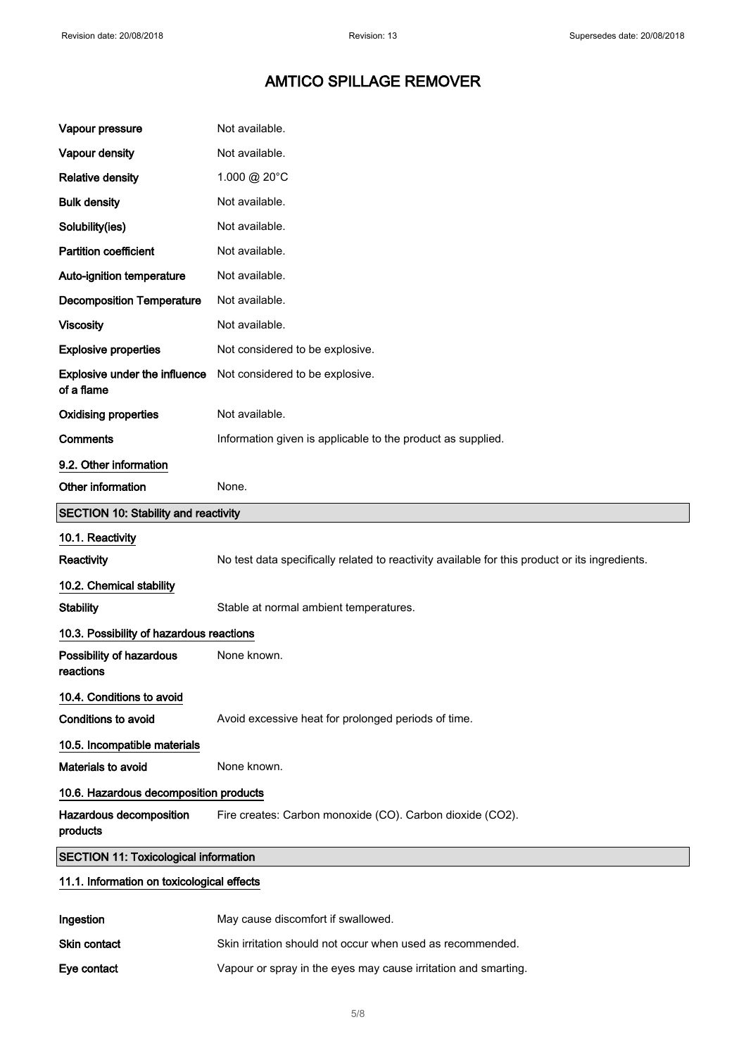| Vapour pressure                                    | Not available.                                                                                 |
|----------------------------------------------------|------------------------------------------------------------------------------------------------|
| Vapour density                                     | Not available.                                                                                 |
| <b>Relative density</b>                            | 1.000 @ 20°C                                                                                   |
| <b>Bulk density</b>                                | Not available.                                                                                 |
| Solubility(ies)                                    | Not available.                                                                                 |
| <b>Partition coefficient</b>                       | Not available.                                                                                 |
| Auto-ignition temperature                          | Not available.                                                                                 |
| <b>Decomposition Temperature</b>                   | Not available.                                                                                 |
| <b>Viscosity</b>                                   | Not available.                                                                                 |
| <b>Explosive properties</b>                        | Not considered to be explosive.                                                                |
| <b>Explosive under the influence</b><br>of a flame | Not considered to be explosive.                                                                |
| <b>Oxidising properties</b>                        | Not available.                                                                                 |
| <b>Comments</b>                                    | Information given is applicable to the product as supplied.                                    |
| 9.2. Other information                             |                                                                                                |
| Other information                                  | None.                                                                                          |
|                                                    |                                                                                                |
| <b>SECTION 10: Stability and reactivity</b>        |                                                                                                |
| 10.1. Reactivity                                   |                                                                                                |
| <b>Reactivity</b>                                  | No test data specifically related to reactivity available for this product or its ingredients. |
| 10.2. Chemical stability                           |                                                                                                |
| <b>Stability</b>                                   | Stable at normal ambient temperatures.                                                         |
| 10.3. Possibility of hazardous reactions           |                                                                                                |
| Possibility of hazardous<br>reactions              | None known.                                                                                    |
| 10.4. Conditions to avoid                          |                                                                                                |
| <b>Conditions to avoid</b>                         | Avoid excessive heat for prolonged periods of time.                                            |
| 10.5. Incompatible materials                       |                                                                                                |
| Materials to avoid                                 | None known.                                                                                    |
| 10.6. Hazardous decomposition products             |                                                                                                |
| Hazardous decomposition<br>products                | Fire creates: Carbon monoxide (CO). Carbon dioxide (CO2).                                      |
| <b>SECTION 11: Toxicological information</b>       |                                                                                                |

| Ingestion           | May cause discomfort if swallowed.                             |
|---------------------|----------------------------------------------------------------|
| <b>Skin contact</b> | Skin irritation should not occur when used as recommended.     |
| Eye contact         | Vapour or spray in the eyes may cause irritation and smarting. |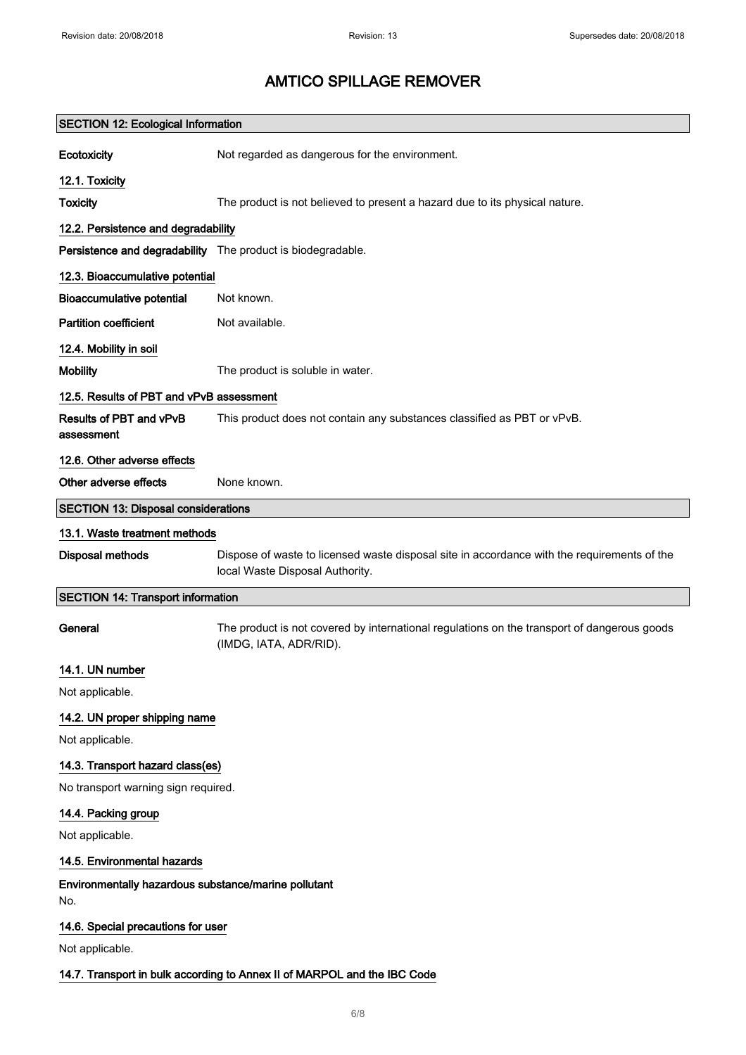| <b>SECTION 12: Ecological Information</b>                                |                                                                                                                                |
|--------------------------------------------------------------------------|--------------------------------------------------------------------------------------------------------------------------------|
| Ecotoxicity                                                              | Not regarded as dangerous for the environment.                                                                                 |
| 12.1. Toxicity                                                           |                                                                                                                                |
| <b>Toxicity</b>                                                          | The product is not believed to present a hazard due to its physical nature.                                                    |
| 12.2. Persistence and degradability                                      |                                                                                                                                |
| Persistence and degradability The product is biodegradable.              |                                                                                                                                |
| 12.3. Bioaccumulative potential                                          |                                                                                                                                |
| <b>Bioaccumulative potential</b>                                         | Not known.                                                                                                                     |
| <b>Partition coefficient</b>                                             | Not available.                                                                                                                 |
| 12.4. Mobility in soil                                                   |                                                                                                                                |
| <b>Mobility</b>                                                          | The product is soluble in water.                                                                                               |
| 12.5. Results of PBT and vPvB assessment                                 |                                                                                                                                |
| Results of PBT and vPvB<br>assessment                                    | This product does not contain any substances classified as PBT or vPvB.                                                        |
| 12.6. Other adverse effects                                              |                                                                                                                                |
| Other adverse effects                                                    | None known.                                                                                                                    |
| <b>SECTION 13: Disposal considerations</b>                               |                                                                                                                                |
| 13.1. Waste treatment methods                                            |                                                                                                                                |
| <b>Disposal methods</b>                                                  | Dispose of waste to licensed waste disposal site in accordance with the requirements of the<br>local Waste Disposal Authority. |
| <b>SECTION 14: Transport information</b>                                 |                                                                                                                                |
| General                                                                  | The product is not covered by international regulations on the transport of dangerous goods<br>(IMDG, IATA, ADR/RID).          |
| 14.1. UN number                                                          |                                                                                                                                |
| Not applicable.                                                          |                                                                                                                                |
| 14.2. UN proper shipping name                                            |                                                                                                                                |
| Not applicable.                                                          |                                                                                                                                |
| 14.3. Transport hazard class(es)                                         |                                                                                                                                |
| No transport warning sign required.                                      |                                                                                                                                |
| 14.4. Packing group                                                      |                                                                                                                                |
| Not applicable.                                                          |                                                                                                                                |
| 14.5. Environmental hazards                                              |                                                                                                                                |
| Environmentally hazardous substance/marine pollutant<br>No.              |                                                                                                                                |
| 14.6. Special precautions for user                                       |                                                                                                                                |
| Not applicable.                                                          |                                                                                                                                |
| 14.7. Transport in bulk according to Annex II of MARPOL and the IBC Code |                                                                                                                                |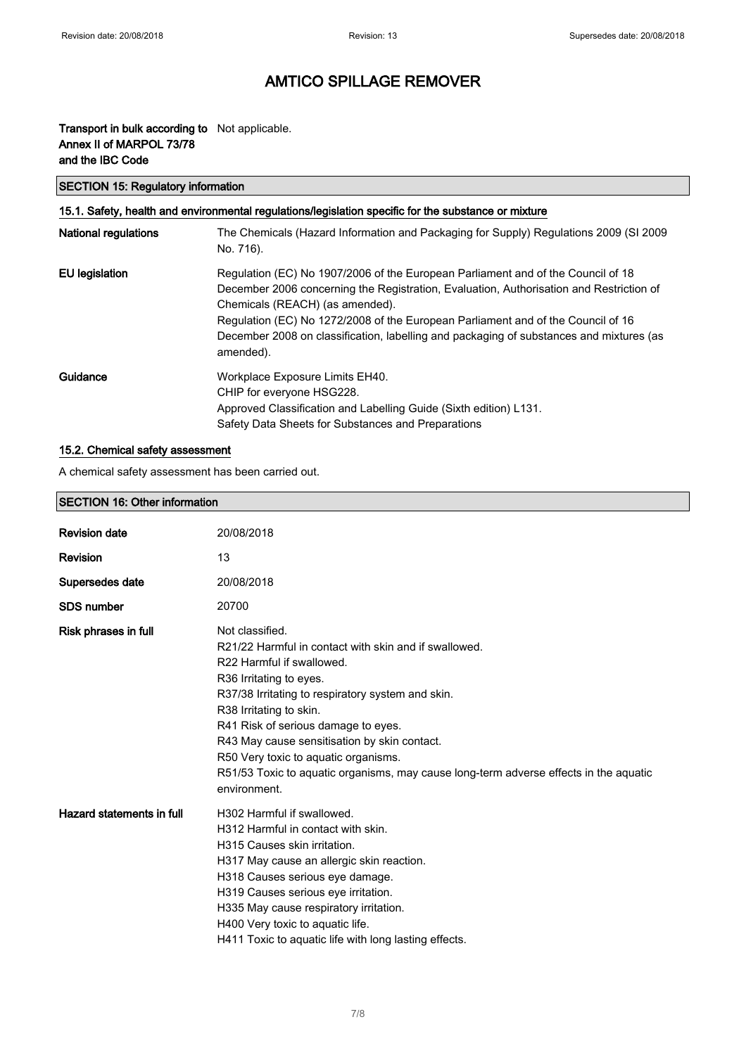$\overline{\phantom{a}}$ 

# AMTICO SPILLAGE REMOVER

#### Transport in bulk according to Not applicable. Annex II of MARPOL 73/78 and the IBC Code

### SECTION 15: Regulatory information

| 15.1. Safety, health and environmental regulations/legislation specific for the substance or mixture |                                                                                                                                                                                                                                                                                                                                                                                                            |  |
|------------------------------------------------------------------------------------------------------|------------------------------------------------------------------------------------------------------------------------------------------------------------------------------------------------------------------------------------------------------------------------------------------------------------------------------------------------------------------------------------------------------------|--|
| <b>National regulations</b>                                                                          | The Chemicals (Hazard Information and Packaging for Supply) Regulations 2009 (SI 2009<br>No. 716).                                                                                                                                                                                                                                                                                                         |  |
| <b>EU</b> legislation                                                                                | Regulation (EC) No 1907/2006 of the European Parliament and of the Council of 18<br>December 2006 concerning the Registration, Evaluation, Authorisation and Restriction of<br>Chemicals (REACH) (as amended).<br>Regulation (EC) No 1272/2008 of the European Parliament and of the Council of 16<br>December 2008 on classification, labelling and packaging of substances and mixtures (as<br>amended). |  |
| Guidance                                                                                             | Workplace Exposure Limits EH40.<br>CHIP for everyone HSG228.<br>Approved Classification and Labelling Guide (Sixth edition) L131.<br>Safety Data Sheets for Substances and Preparations                                                                                                                                                                                                                    |  |

#### 15.2. Chemical safety assessment

A chemical safety assessment has been carried out.

| <b>SECTION 16: Other information</b> |                                                                                                                                                                                                                                                                                                                                                                                                                                                          |
|--------------------------------------|----------------------------------------------------------------------------------------------------------------------------------------------------------------------------------------------------------------------------------------------------------------------------------------------------------------------------------------------------------------------------------------------------------------------------------------------------------|
| <b>Revision date</b>                 | 20/08/2018                                                                                                                                                                                                                                                                                                                                                                                                                                               |
| <b>Revision</b>                      | 13                                                                                                                                                                                                                                                                                                                                                                                                                                                       |
| Supersedes date                      | 20/08/2018                                                                                                                                                                                                                                                                                                                                                                                                                                               |
| <b>SDS number</b>                    | 20700                                                                                                                                                                                                                                                                                                                                                                                                                                                    |
| Risk phrases in full                 | Not classified.<br>R21/22 Harmful in contact with skin and if swallowed.<br>R22 Harmful if swallowed.<br>R36 Irritating to eyes.<br>R37/38 Irritating to respiratory system and skin.<br>R38 Irritating to skin.<br>R41 Risk of serious damage to eyes.<br>R43 May cause sensitisation by skin contact.<br>R50 Very toxic to aquatic organisms.<br>R51/53 Toxic to aquatic organisms, may cause long-term adverse effects in the aquatic<br>environment. |
| Hazard statements in full            | H302 Harmful if swallowed.<br>H312 Harmful in contact with skin.<br>H315 Causes skin irritation.<br>H317 May cause an allergic skin reaction.<br>H318 Causes serious eye damage.<br>H319 Causes serious eye irritation.<br>H335 May cause respiratory irritation.<br>H400 Very toxic to aquatic life.<br>H411 Toxic to aquatic life with long lasting effects.                                                                                           |